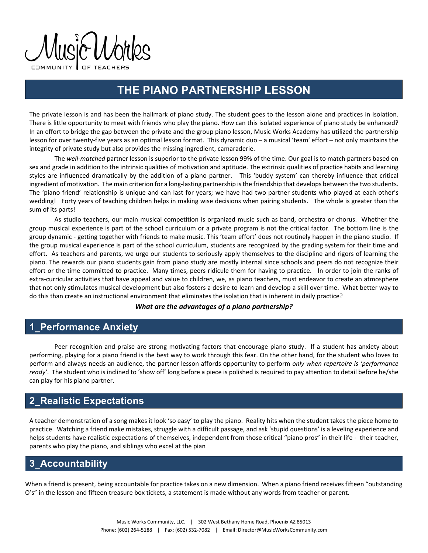$\Lambda$ lısi $\sim$ l $\Lambda$ 

# **THE PIANO PARTNERSHIP LESSON**

The private lesson is and has been the hallmark of piano study. The student goes to the lesson alone and practices in isolation. There is little opportunity to meet with friends who play the piano. How can this isolated experience of piano study be enhanced? In an effort to bridge the gap between the private and the group piano lesson, Music Works Academy has utilized the partnership lesson for over twenty‐five years as an optimal lesson format. This dynamic duo – a musical 'team' effort – not only maintains the integrity of private study but also provides the missing ingredient, camaraderie.

The *well‐matched* partner lesson is superior to the private lesson 99% of the time. Our goal is to match partners based on sex and grade in addition to the intrinsic qualities of motivation and aptitude. The extrinsic qualities of practice habits and learning styles are influenced dramatically by the addition of a piano partner. This 'buddy system' can thereby influence that critical ingredient of motivation. The main criterion for a long-lasting partnership is the friendship that develops between the two students. The 'piano friend' relationship is unique and can last for years; we have had two partner students who played at each other's wedding! Forty years of teaching children helps in making wise decisions when pairing students. The whole is greater than the sum of its parts!

As studio teachers, our main musical competition is organized music such as band, orchestra or chorus. Whether the group musical experience is part of the school curriculum or a private program is not the critical factor. The bottom line is the group dynamic ‐ getting together with friends to make music. This 'team effort' does not routinely happen in the piano studio. If the group musical experience is part of the school curriculum, students are recognized by the grading system for their time and effort. As teachers and parents, we urge our students to seriously apply themselves to the discipline and rigors of learning the piano. The rewards our piano students gain from piano study are mostly internal since schools and peers do not recognize their effort or the time committed to practice. Many times, peers ridicule them for having to practice. In order to join the ranks of extra-curricular activities that have appeal and value to children, we, as piano teachers, must endeavor to create an atmosphere that not only stimulates musical development but also fosters a desire to learn and develop a skill over time. What better way to do this than create an instructional environment that eliminates the isolation that is inherent in daily practice?

#### *What are the advantages of a piano partnership?*

## **1\_Performance Anxiety**

Peer recognition and praise are strong motivating factors that encourage piano study. If a student has anxiety about performing, playing for a piano friend is the best way to work through this fear. On the other hand, for the student who loves to perform and always needs an audience, the partner lesson affords opportunity to perform *only when repertoire is 'performance ready'*. The student who is inclined to 'show off' long before a piece is polished is required to pay attention to detail before he/she can play for his piano partner.

## **2\_Realistic Expectations**

A teacher demonstration of a song makes it look 'so easy' to play the piano. Reality hits when the student takes the piece home to practice. Watching a friend make mistakes, struggle with a difficult passage, and ask 'stupid questions' is a leveling experience and helps students have realistic expectations of themselves, independent from those critical "piano pros" in their life - their teacher, parents who play the piano, and siblings who excel at the pian

## **3\_Accountability**

When a friend is present, being accountable for practice takes on a new dimension. When a piano friend receives fifteen "outstanding O's" in the lesson and fifteen treasure box tickets, a statement is made without any words from teacher or parent.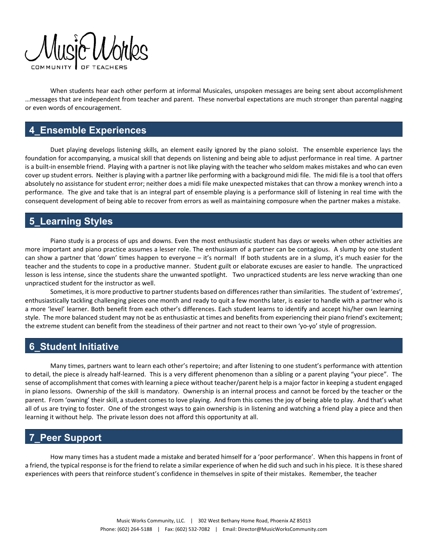

When students hear each other perform at informal Musicales, unspoken messages are being sent about accomplishment …messages that are independent from teacher and parent. These nonverbal expectations are much stronger than parental nagging or even words of encouragement.

#### **4\_Ensemble Experiences**

Duet playing develops listening skills, an element easily ignored by the piano soloist. The ensemble experience lays the foundation for accompanying, a musical skill that depends on listening and being able to adjust performance in real time. A partner is a built-in ensemble friend. Playing with a partner is not like playing with the teacher who seldom makes mistakes and who can even cover up student errors. Neither is playing with a partner like performing with a background midi file. The midi file is a tool that offers absolutely no assistance for student error; neither does a midi file make unexpected mistakes that can throw a monkey wrench into a performance. The give and take that is an integral part of ensemble playing is a performance skill of listening in real time with the consequent development of being able to recover from errors as well as maintaining composure when the partner makes a mistake.

## **5\_Learning Styles**

Piano study is a process of ups and downs. Even the most enthusiastic student has days or weeks when other activities are more important and piano practice assumes a lesser role. The enthusiasm of a partner can be contagious. A slump by one student can show a partner that 'down' times happen to everyone – it's normal! If both students are in a slump, it's much easier for the teacher and the students to cope in a productive manner. Student guilt or elaborate excuses are easier to handle. The unpracticed lesson is less intense, since the students share the unwanted spotlight. Two unpracticed students are less nerve wracking than one unpracticed student for the instructor as well.

Sometimes, it is more productive to partner students based on differences rather than similarities. The student of 'extremes', enthusiastically tackling challenging pieces one month and ready to quit a few months later, is easier to handle with a partner who is a more 'level' learner. Both benefit from each other's differences. Each student learns to identify and accept his/her own learning style. The more balanced student may not be as enthusiastic at times and benefits from experiencing their piano friend's excitement; the extreme student can benefit from the steadiness of their partner and not react to their own 'yo-yo' style of progression.

#### **6\_Student Initiative**

Many times, partners want to learn each other's repertoire; and after listening to one student's performance with attention to detail, the piece is already half‐learned. This is a very different phenomenon than a sibling or a parent playing "your piece". The sense of accomplishment that comes with learning a piece without teacher/parent help is a major factor in keeping a student engaged in piano lessons. Ownership of the skill is mandatory. Ownership is an internal process and cannot be forced by the teacher or the parent. From 'owning' their skill, a student comes to love playing. And from this comes the joy of being able to play. And that's what all of us are trying to foster. One of the strongest ways to gain ownership is in listening and watching a friend play a piece and then learning it without help. The private lesson does not afford this opportunity at all.

## **7\_Peer Support**

How many times has a student made a mistake and berated himself for a 'poor performance'. When this happens in front of a friend, the typical response is for the friend to relate a similar experience of when he did such and such in his piece. It is these shared experiences with peers that reinforce student's confidence in themselves in spite of their mistakes. Remember, the teacher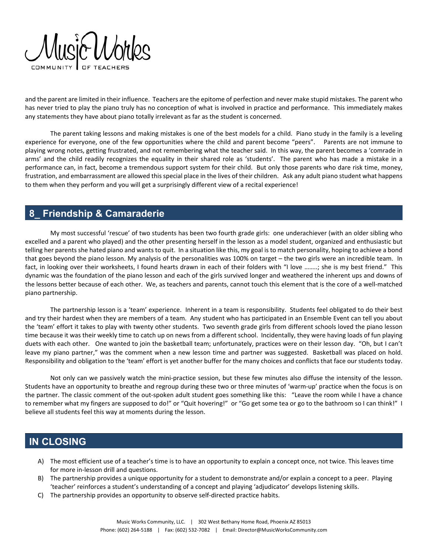

and the parent are limited in their influence. Teachers are the epitome of perfection and never make stupid mistakes. The parent who has never tried to play the piano truly has no conception of what is involved in practice and performance. This immediately makes any statements they have about piano totally irrelevant as far as the student is concerned.

The parent taking lessons and making mistakes is one of the best models for a child. Piano study in the family is a leveling experience for everyone, one of the few opportunities where the child and parent become "peers". Parents are not immune to playing wrong notes, getting frustrated, and not remembering what the teacher said. In this way, the parent becomes a 'comrade in arms' and the child readily recognizes the equality in their shared role as 'students'. The parent who has made a mistake in a performance can, in fact, become a tremendous support system for their child. But only those parents who dare risk time, money, frustration, and embarrassment are allowed this special place in the lives of their children. Ask any adult piano student what happens to them when they perform and you will get a surprisingly different view of a recital experience!

## **8\_ Friendship & Camaraderie**

My most successful 'rescue' of two students has been two fourth grade girls: one underachiever (with an older sibling who excelled and a parent who played) and the other presenting herself in the lesson as a model student, organized and enthusiastic but telling her parents she hated piano and wants to quit. In a situation like this, my goal is to match personality, hoping to achieve a bond that goes beyond the piano lesson. My analysis of the personalities was 100% on target – the two girls were an incredible team. In fact, in looking over their worksheets, I found hearts drawn in each of their folders with "I love ……..; she is my best friend." This dynamic was the foundation of the piano lesson and each of the girls survived longer and weathered the inherent ups and downs of the lessons better because of each other. We, as teachers and parents, cannot touch this element that is the core of a well-matched piano partnership.

The partnership lesson is a 'team' experience. Inherent in a team is responsibility. Students feel obligated to do their best and try their hardest when they are members of a team. Any student who has participated in an Ensemble Event can tell you about the 'team' effort it takes to play with twenty other students. Two seventh grade girls from different schools loved the piano lesson time because it was their weekly time to catch up on news from a different school. Incidentally, they were having loads of fun playing duets with each other. One wanted to join the basketball team; unfortunately, practices were on their lesson day. "Oh, but I can't leave my piano partner," was the comment when a new lesson time and partner was suggested. Basketball was placed on hold. Responsibility and obligation to the 'team' effort is yet another buffer for the many choices and conflicts that face our students today.

Not only can we passively watch the mini-practice session, but these few minutes also diffuse the intensity of the lesson. Students have an opportunity to breathe and regroup during these two or three minutes of 'warm‐up' practice when the focus is on the partner. The classic comment of the out-spoken adult student goes something like this: "Leave the room while I have a chance to remember what my fingers are supposed to do!" or "Quit hovering!" or "Go get some tea or go to the bathroom so I can think!" I believe all students feel this way at moments during the lesson.

#### **IN CLOSING**

- A) The most efficient use of a teacher's time is to have an opportunity to explain a concept once, not twice. This leaves time for more in‐lesson drill and questions.
- B) The partnership provides a unique opportunity for a student to demonstrate and/or explain a concept to a peer. Playing 'teacher' reinforces a student's understanding of a concept and playing 'adjudicator' develops listening skills.
- C) The partnership provides an opportunity to observe self‐directed practice habits.